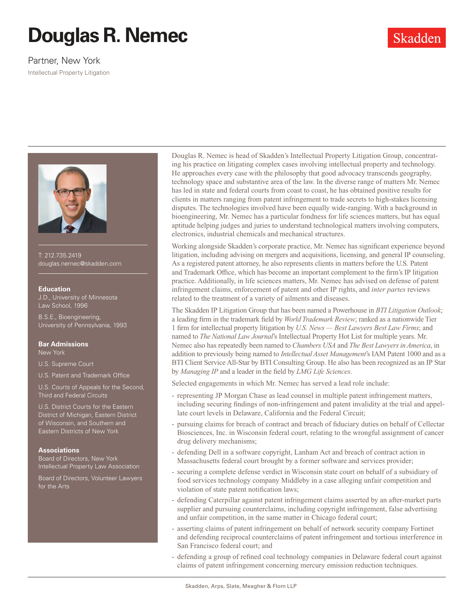# **Douglas R. Nemec**

# Partner, New York

Intellectual Property Litigation



T: 212.735.2419 douglas.nemec@skadden.com

#### **Education**

J.D., University of Minnesota Law School, 1996

B.S.E., Bioengineering, University of Pennsylvania, 1993

### **Bar Admissions**

New York

U.S. Supreme Court

U.S. Patent and Trademark Office

U.S. Courts of Appeals for the Second, Third and Federal Circuits

U.S. District Courts for the Eastern District of Michigan, Eastern District of Wisconsin, and Southern and Eastern Districts of New York

### **Associations**

Board of Directors, New York Intellectual Property Law Association

Board of Directors, Volunteer Lawyers for the Arts

Douglas R. Nemec is head of Skadden's Intellectual Property Litigation Group, concentrating his practice on litigating complex cases involving intellectual property and technology. He approaches every case with the philosophy that good advocacy transcends geography, technology space and substantive area of the law. In the diverse range of matters Mr. Nemec has led in state and federal courts from coast to coast, he has obtained positive results for clients in matters ranging from patent infringement to trade secrets to high-stakes licensing disputes. The technologies involved have been equally wide-ranging. With a background in bioengineering, Mr. Nemec has a particular fondness for life sciences matters, but has equal aptitude helping judges and juries to understand technological matters involving computers, electronics, industrial chemicals and mechanical structures.

Skadden

Working alongside Skadden's corporate practice, Mr. Nemec has significant experience beyond litigation, including advising on mergers and acquisitions, licensing, and general IP counseling. As a registered patent attorney, he also represents clients in matters before the U.S. Patent and Trademark Office, which has become an important complement to the firm's IP litigation practice. Additionally, in life sciences matters, Mr. Nemec has advised on defense of patent infringement claims, enforcement of patent and other IP rights, and *inter partes* reviews related to the treatment of a variety of ailments and diseases.

The Skadden IP Litigation Group that has been named a Powerhouse in *BTI Litigation Outlook*; a leading firm in the trademark field by *World Trademark Review*; ranked as a nationwide Tier 1 firm for intellectual property litigation by *U.S. News — Best Lawyers Best Law Firms*; and named to *The National Law Journal*'s Intellectual Property Hot List for multiple years. Mr. Nemec also has repeatedly been named to *Chambers USA* and *The Best Lawyers in America*, in addition to previously being named to *Intellectual Asset Management*'s IAM Patent 1000 and as a BTI Client Service All-Star by BTI Consulting Group. He also has been recognized as an IP Star by *Managing IP* and a leader in the field by *LMG Life Sciences*.

Selected engagements in which Mr. Nemec has served a lead role include:

- representing JP Morgan Chase as lead counsel in multiple patent infringement matters, including securing findings of non-infringement and patent invalidity at the trial and appellate court levels in Delaware, California and the Federal Circuit;
- pursuing claims for breach of contract and breach of fiduciary duties on behalf of Cellectar Biosciences, Inc. in Wisconsin federal court, relating to the wrongful assignment of cancer drug delivery mechanisms;
- defending Dell in a software copyright, Lanham Act and breach of contract action in Massachusetts federal court brought by a former software and services provider;
- securing a complete defense verdict in Wisconsin state court on behalf of a subsidiary of food services technology company Middleby in a case alleging unfair competition and violation of state patent notification laws;
- defending Caterpillar against patent infringement claims asserted by an after-market parts supplier and pursuing counterclaims, including copyright infringement, false advertising and unfair competition, in the same matter in Chicago federal court;
- asserting claims of patent infringement on behalf of network security company Fortinet and defending reciprocal counterclaims of patent infringement and tortious interference in San Francisco federal court; and
- defending a group of refined coal technology companies in Delaware federal court against claims of patent infringement concerning mercury emission reduction techniques.